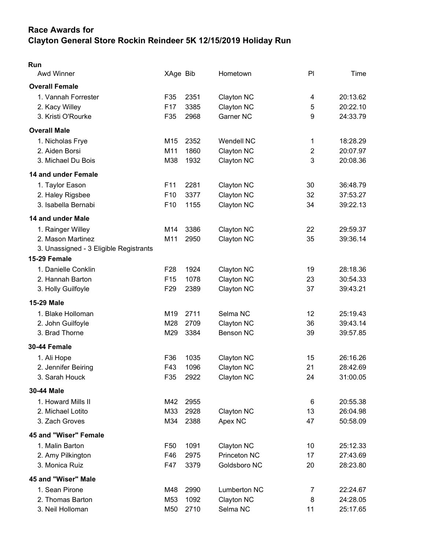## Race Awards for Clayton General Store Rockin Reindeer 5K 12/15/2019 Holiday Run

| Run<br>Awd Winner                                                                | XAge Bib                                              |                      | Hometown                                      | PI                       | Time                             |
|----------------------------------------------------------------------------------|-------------------------------------------------------|----------------------|-----------------------------------------------|--------------------------|----------------------------------|
| <b>Overall Female</b>                                                            |                                                       |                      |                                               |                          |                                  |
| 1. Vannah Forrester<br>2. Kacy Willey<br>3. Kristi O'Rourke                      | F35<br>F <sub>17</sub><br>F35                         | 2351<br>3385<br>2968 | Clayton NC<br>Clayton NC<br>Garner NC         | 4<br>5<br>9              | 20:13.62<br>20:22.10<br>24:33.79 |
| <b>Overall Male</b>                                                              |                                                       |                      |                                               |                          |                                  |
| 1. Nicholas Frye<br>2. Aiden Borsi<br>3. Michael Du Bois                         | M15<br>M11<br>M38                                     | 2352<br>1860<br>1932 | <b>Wendell NC</b><br>Clayton NC<br>Clayton NC | 1<br>$\overline{2}$<br>3 | 18:28.29<br>20:07.97<br>20:08.36 |
| 14 and under Female                                                              |                                                       |                      |                                               |                          |                                  |
| 1. Taylor Eason<br>2. Haley Rigsbee<br>3. Isabella Bernabi                       | F <sub>11</sub><br>F <sub>10</sub><br>F <sub>10</sub> | 2281<br>3377<br>1155 | Clayton NC<br>Clayton NC<br>Clayton NC        | 30<br>32<br>34           | 36:48.79<br>37:53.27<br>39:22.13 |
| 14 and under Male                                                                |                                                       |                      |                                               |                          |                                  |
| 1. Rainger Willey<br>2. Mason Martinez<br>3. Unassigned - 3 Eligible Registrants | M14<br>M11                                            | 3386<br>2950         | Clayton NC<br>Clayton NC                      | 22<br>35                 | 29:59.37<br>39:36.14             |
| 15-29 Female                                                                     |                                                       |                      |                                               |                          |                                  |
| 1. Danielle Conklin<br>2. Hannah Barton<br>3. Holly Guilfoyle                    | F <sub>28</sub><br>F <sub>15</sub><br>F <sub>29</sub> | 1924<br>1078<br>2389 | Clayton NC<br>Clayton NC<br>Clayton NC        | 19<br>23<br>37           | 28:18.36<br>30:54.33<br>39:43.21 |
| <b>15-29 Male</b>                                                                |                                                       |                      |                                               |                          |                                  |
| 1. Blake Holloman<br>2. John Guilfoyle<br>3. Brad Thorne                         | M19<br>M28<br>M29                                     | 2711<br>2709<br>3384 | Selma NC<br>Clayton NC<br><b>Benson NC</b>    | 12<br>36<br>39           | 25:19.43<br>39:43.14<br>39:57.85 |
| 30-44 Female                                                                     |                                                       |                      |                                               |                          |                                  |
| 1. Ali Hope<br>2. Jennifer Beiring<br>3. Sarah Houck                             | F36<br>F43<br>F35                                     | 1035<br>1096<br>2922 | Clayton NC<br><b>Clayton NC</b><br>Clayton NC | 15<br>21<br>24           | 26:16.26<br>28:42.69<br>31:00.05 |
| 30-44 Male                                                                       |                                                       |                      |                                               |                          |                                  |
| 1. Howard Mills II<br>2. Michael Lotito<br>3. Zach Groves                        | M42<br>M33<br>M34                                     | 2955<br>2928<br>2388 | Clayton NC<br>Apex NC                         | 6<br>13<br>47            | 20:55.38<br>26:04.98<br>50:58.09 |
| 45 and "Wiser" Female                                                            |                                                       |                      |                                               |                          |                                  |
| 1. Malin Barton<br>2. Amy Pilkington<br>3. Monica Ruiz                           | F <sub>50</sub><br>F46<br>F47                         | 1091<br>2975<br>3379 | Clayton NC<br>Princeton NC<br>Goldsboro NC    | 10<br>17<br>20           | 25:12.33<br>27:43.69<br>28:23.80 |
| 45 and "Wiser" Male                                                              |                                                       |                      |                                               |                          |                                  |
| 1. Sean Pirone<br>2. Thomas Barton<br>3. Neil Holloman                           | M48<br>M53<br>M50                                     | 2990<br>1092<br>2710 | Lumberton NC<br>Clayton NC<br>Selma NC        | 7<br>8<br>11             | 22:24.67<br>24:28.05<br>25:17.65 |